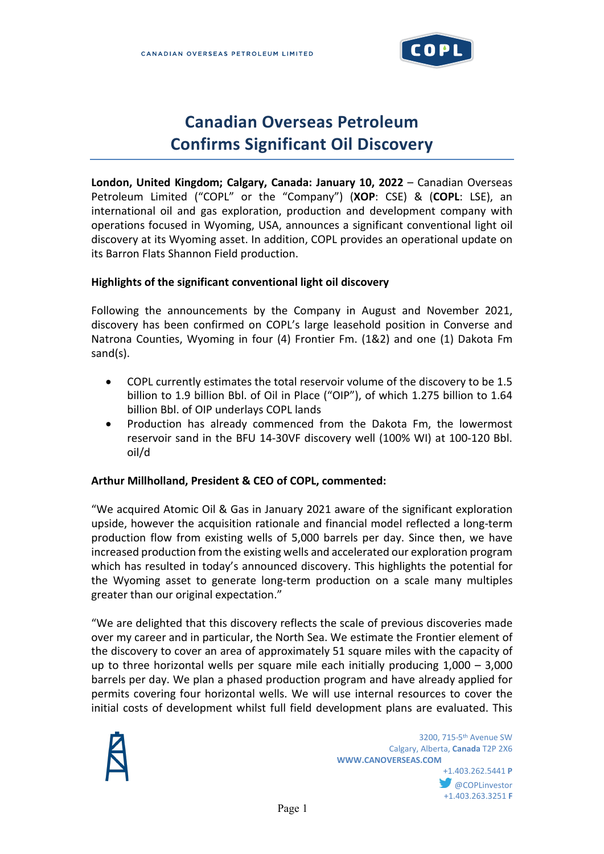

# **Canadian Overseas Petroleum Confirms Significant Oil Discovery**

**London, United Kingdom; Calgary, Canada: January 10, 2022** – Canadian Overseas Petroleum Limited ("COPL" or the "Company") (**XOP**: CSE) & (**COPL**: LSE), an international oil and gas exploration, production and development company with operations focused in Wyoming, USA, announces a significant conventional light oil discovery at its Wyoming asset. In addition, COPL provides an operational update on its Barron Flats Shannon Field production.

#### **Highlights of the significant conventional light oil discovery**

Following the announcements by the Company in August and November 2021, discovery has been confirmed on COPL's large leasehold position in Converse and Natrona Counties, Wyoming in four (4) Frontier Fm. (1&2) and one (1) Dakota Fm sand(s).

- COPL currently estimates the total reservoir volume of the discovery to be 1.5 billion to 1.9 billion Bbl. of Oil in Place ("OIP"), of which 1.275 billion to 1.64 billion Bbl. of OIP underlays COPL lands
- Production has already commenced from the Dakota Fm, the lowermost reservoir sand in the BFU 14-30VF discovery well (100% WI) at 100-120 Bbl. oil/d

#### **Arthur Millholland, President & CEO of COPL, commented:**

"We acquired Atomic Oil & Gas in January 2021 aware of the significant exploration upside, however the acquisition rationale and financial model reflected a long-term production flow from existing wells of 5,000 barrels per day. Since then, we have increased production from the existing wells and accelerated our exploration program which has resulted in today's announced discovery. This highlights the potential for the Wyoming asset to generate long-term production on a scale many multiples greater than our original expectation."

"We are delighted that this discovery reflects the scale of previous discoveries made over my career and in particular, the North Sea. We estimate the Frontier element of the discovery to cover an area of approximately 51 square miles with the capacity of up to three horizontal wells per square mile each initially producing  $1,000 - 3,000$ barrels per day. We plan a phased production program and have already applied for permits covering four horizontal wells. We will use internal resources to cover the initial costs of development whilst full field development plans are evaluated. This

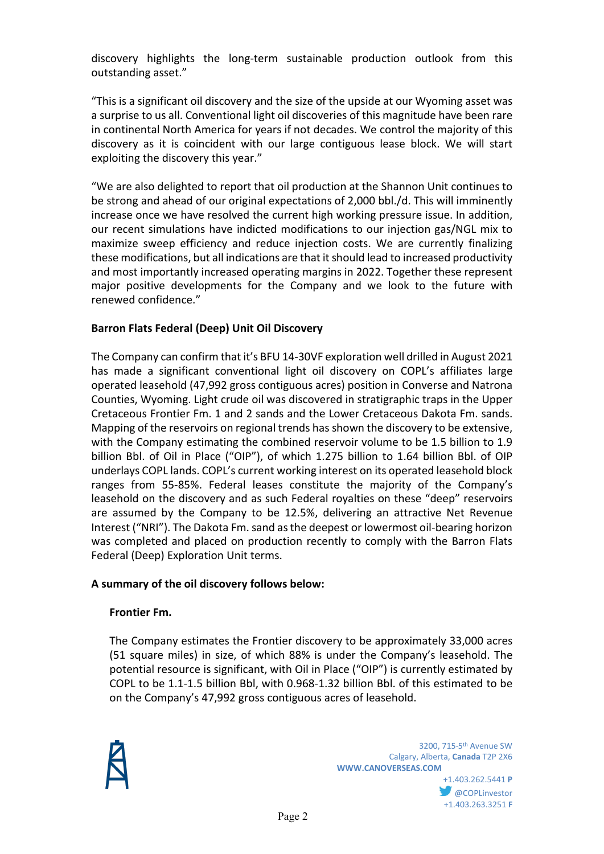discovery highlights the long-term sustainable production outlook from this outstanding asset."

"This is a significant oil discovery and the size of the upside at our Wyoming asset was a surprise to us all. Conventional light oil discoveries of this magnitude have been rare in continental North America for years if not decades. We control the majority of this discovery as it is coincident with our large contiguous lease block. We will start exploiting the discovery this year."

"We are also delighted to report that oil production at the Shannon Unit continues to be strong and ahead of our original expectations of 2,000 bbl./d. This will imminently increase once we have resolved the current high working pressure issue. In addition, our recent simulations have indicted modifications to our injection gas/NGL mix to maximize sweep efficiency and reduce injection costs. We are currently finalizing these modifications, but all indications are that it should lead to increased productivity and most importantly increased operating margins in 2022. Together these represent major positive developments for the Company and we look to the future with renewed confidence."

# **Barron Flats Federal (Deep) Unit Oil Discovery**

The Company can confirm that it's BFU 14-30VF exploration well drilled in August 2021 has made a significant conventional light oil discovery on COPL's affiliates large operated leasehold (47,992 gross contiguous acres) position in Converse and Natrona Counties, Wyoming. Light crude oil was discovered in stratigraphic traps in the Upper Cretaceous Frontier Fm. 1 and 2 sands and the Lower Cretaceous Dakota Fm. sands. Mapping of the reservoirs on regional trends has shown the discovery to be extensive, with the Company estimating the combined reservoir volume to be 1.5 billion to 1.9 billion Bbl. of Oil in Place ("OIP"), of which 1.275 billion to 1.64 billion Bbl. of OIP underlays COPL lands. COPL's current working interest on its operated leasehold block ranges from 55-85%. Federal leases constitute the majority of the Company's leasehold on the discovery and as such Federal royalties on these "deep" reservoirs are assumed by the Company to be 12.5%, delivering an attractive Net Revenue Interest ("NRI"). The Dakota Fm. sand as the deepest or lowermost oil-bearing horizon was completed and placed on production recently to comply with the Barron Flats Federal (Deep) Exploration Unit terms.

## **A summary of the oil discovery follows below:**

## **Frontier Fm.**

The Company estimates the Frontier discovery to be approximately 33,000 acres (51 square miles) in size, of which 88% is under the Company's leasehold. The potential resource is significant, with Oil in Place ("OIP") is currently estimated by COPL to be 1.1-1.5 billion Bbl, with 0.968-1.32 billion Bbl. of this estimated to be on the Company's 47,992 gross contiguous acres of leasehold.



**COPLinvestor** +1.403.263.3251 **F**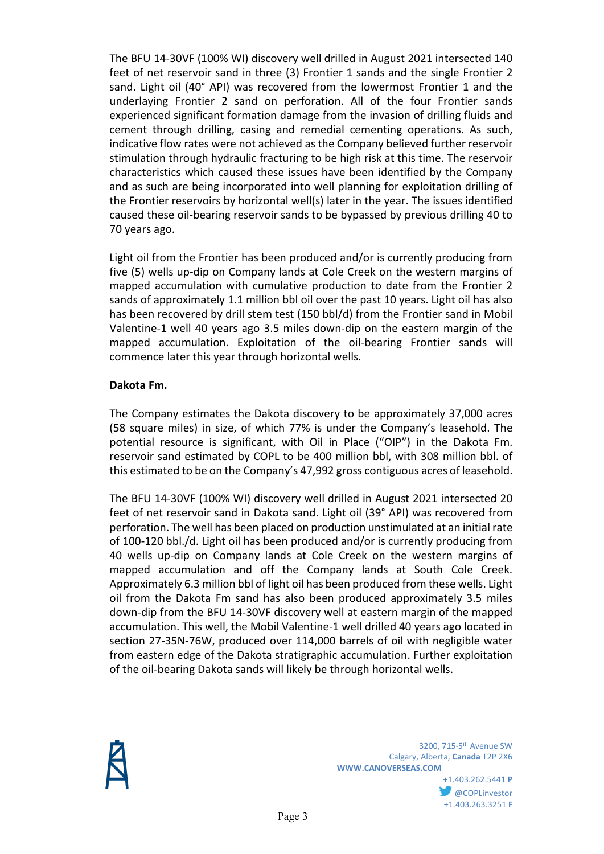The BFU 14-30VF (100% WI) discovery well drilled in August 2021 intersected 140 feet of net reservoir sand in three (3) Frontier 1 sands and the single Frontier 2 sand. Light oil (40° API) was recovered from the lowermost Frontier 1 and the underlaying Frontier 2 sand on perforation. All of the four Frontier sands experienced significant formation damage from the invasion of drilling fluids and cement through drilling, casing and remedial cementing operations. As such, indicative flow rates were not achieved as the Company believed further reservoir stimulation through hydraulic fracturing to be high risk at this time. The reservoir characteristics which caused these issues have been identified by the Company and as such are being incorporated into well planning for exploitation drilling of the Frontier reservoirs by horizontal well(s) later in the year. The issues identified caused these oil-bearing reservoir sands to be bypassed by previous drilling 40 to 70 years ago.

Light oil from the Frontier has been produced and/or is currently producing from five (5) wells up-dip on Company lands at Cole Creek on the western margins of mapped accumulation with cumulative production to date from the Frontier 2 sands of approximately 1.1 million bbl oil over the past 10 years. Light oil has also has been recovered by drill stem test (150 bbl/d) from the Frontier sand in Mobil Valentine-1 well 40 years ago 3.5 miles down-dip on the eastern margin of the mapped accumulation. Exploitation of the oil-bearing Frontier sands will commence later this year through horizontal wells.

## **Dakota Fm.**

The Company estimates the Dakota discovery to be approximately 37,000 acres (58 square miles) in size, of which 77% is under the Company's leasehold. The potential resource is significant, with Oil in Place ("OIP") in the Dakota Fm. reservoir sand estimated by COPL to be 400 million bbl, with 308 million bbl. of this estimated to be on the Company's 47,992 gross contiguous acres of leasehold.

The BFU 14-30VF (100% WI) discovery well drilled in August 2021 intersected 20 feet of net reservoir sand in Dakota sand. Light oil (39° API) was recovered from perforation. The well has been placed on production unstimulated at an initial rate of 100-120 bbl./d. Light oil has been produced and/or is currently producing from 40 wells up-dip on Company lands at Cole Creek on the western margins of mapped accumulation and off the Company lands at South Cole Creek. Approximately 6.3 million bbl of light oil has been produced from these wells. Light oil from the Dakota Fm sand has also been produced approximately 3.5 miles down-dip from the BFU 14-30VF discovery well at eastern margin of the mapped accumulation. This well, the Mobil Valentine-1 well drilled 40 years ago located in section 27-35N-76W, produced over 114,000 barrels of oil with negligible water from eastern edge of the Dakota stratigraphic accumulation. Further exploitation of the oil-bearing Dakota sands will likely be through horizontal wells.

> 3200, 715-5th Avenue SW Calgary, Alberta, **Canada** T2P 2X6 **WWW.CANOVERSEAS.COM**

+1.403.262.5441 **P COPLinvestor** +1.403.263.3251 **F**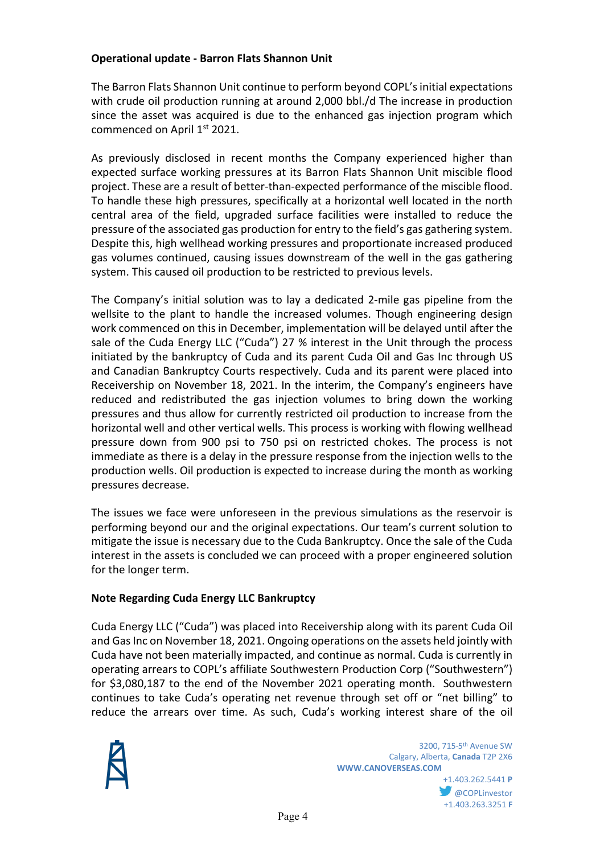## **Operational update - Barron Flats Shannon Unit**

The Barron Flats Shannon Unit continue to perform beyond COPL'sinitial expectations with crude oil production running at around 2,000 bbl./d The increase in production since the asset was acquired is due to the enhanced gas injection program which commenced on April 1<sup>st</sup> 2021.

As previously disclosed in recent months the Company experienced higher than expected surface working pressures at its Barron Flats Shannon Unit miscible flood project. These are a result of better-than-expected performance of the miscible flood. To handle these high pressures, specifically at a horizontal well located in the north central area of the field, upgraded surface facilities were installed to reduce the pressure of the associated gas production for entry to the field's gas gathering system. Despite this, high wellhead working pressures and proportionate increased produced gas volumes continued, causing issues downstream of the well in the gas gathering system. This caused oil production to be restricted to previous levels.

The Company's initial solution was to lay a dedicated 2-mile gas pipeline from the wellsite to the plant to handle the increased volumes. Though engineering design work commenced on this in December, implementation will be delayed until after the sale of the Cuda Energy LLC ("Cuda") 27 % interest in the Unit through the process initiated by the bankruptcy of Cuda and its parent Cuda Oil and Gas Inc through US and Canadian Bankruptcy Courts respectively. Cuda and its parent were placed into Receivership on November 18, 2021. In the interim, the Company's engineers have reduced and redistributed the gas injection volumes to bring down the working pressures and thus allow for currently restricted oil production to increase from the horizontal well and other vertical wells. This process is working with flowing wellhead pressure down from 900 psi to 750 psi on restricted chokes. The process is not immediate as there is a delay in the pressure response from the injection wells to the production wells. Oil production is expected to increase during the month as working pressures decrease.

The issues we face were unforeseen in the previous simulations as the reservoir is performing beyond our and the original expectations. Our team's current solution to mitigate the issue is necessary due to the Cuda Bankruptcy. Once the sale of the Cuda interest in the assets is concluded we can proceed with a proper engineered solution for the longer term.

## **Note Regarding Cuda Energy LLC Bankruptcy**

Cuda Energy LLC ("Cuda") was placed into Receivership along with its parent Cuda Oil and Gas Inc on November 18, 2021. Ongoing operations on the assets held jointly with Cuda have not been materially impacted, and continue as normal. Cuda is currently in operating arrears to COPL's affiliate Southwestern Production Corp ("Southwestern") for \$3,080,187 to the end of the November 2021 operating month. Southwestern continues to take Cuda's operating net revenue through set off or "net billing" to reduce the arrears over time. As such, Cuda's working interest share of the oil



**COPLinvestor** +1.403.263.3251 **F**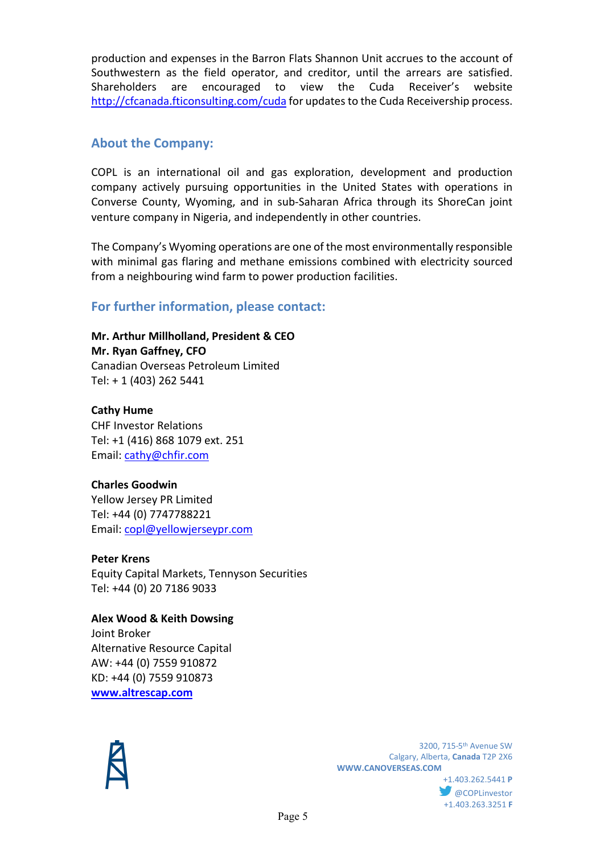production and expenses in the Barron Flats Shannon Unit accrues to the account of Southwestern as the field operator, and creditor, until the arrears are satisfied. Shareholders are encouraged to view the Cuda Receiver's website <http://cfcanada.fticonsulting.com/cuda> for updates to the Cuda Receivership process.

# **About the Company:**

COPL is an international oil and gas exploration, development and production company actively pursuing opportunities in the United States with operations in Converse County, Wyoming, and in sub-Saharan Africa through its ShoreCan joint venture company in Nigeria, and independently in other countries.

The Company's Wyoming operations are one of the most environmentally responsible with minimal gas flaring and methane emissions combined with electricity sourced from a neighbouring wind farm to power production facilities.

# **For further information, please contact:**

**Mr. Arthur Millholland, President & CEO Mr. Ryan Gaffney, CFO** Canadian Overseas Petroleum Limited Tel: + 1 (403) 262 5441

**Cathy Hume** CHF Investor Relations Tel: +1 (416) 868 1079 ext. 251 Email: [cathy@chfir.com](mailto:cathy@chfir.com)

# **Charles Goodwin**

Yellow Jersey PR Limited Tel: +44 (0) 7747788221 Email: [copl@yellowjerseypr.com](mailto:copl@yellowjerseypr.com)

#### **Peter Krens**

Equity Capital Markets, Tennyson Securities Tel: +44 (0) 20 7186 9033

#### **Alex Wood & Keith Dowsing** Joint Broker Alternative Resource Capital

AW: +44 (0) 7559 910872 KD: +44 (0) 7559 910873 **[www.altrescap.com](https://us-west-2.protection.sophos.com/?d=altrescap.com&u=aHR0cDovL3d3dy5hbHRyZXNjYXAuY29tLw==&i=NjE3MTkwZjFlOWZkN2MxMDRiMmJjZDlk&t=dUdUb2l6NmlZbVdyQnJiRHRkRGRIN0NJbDh3Ym04ODZiU3hkRVdjU0RaZz0=&h=00028df708b54f3cb998e141d5e49985)**



 3200, 715-5th Avenue SW Calgary, Alberta, **Canada** T2P 2X6 **WWW.CANOVERSEAS.COM** +1.403.262.5441 **P**

**@COPLinvestor** +1.403.263.3251 **F**